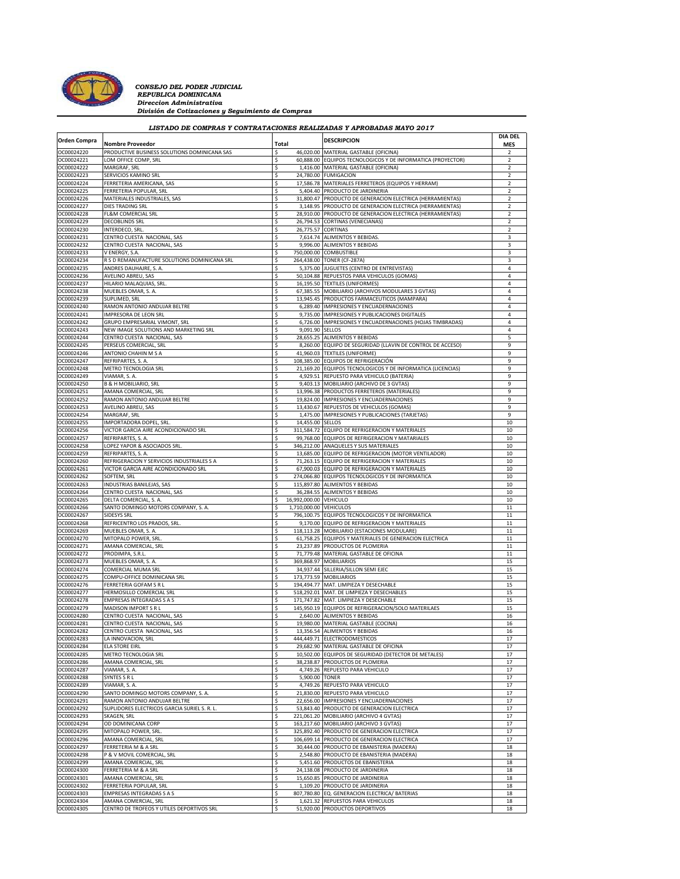

*CONSEJO DEL PODER JUDICIAL*<br> *REPUBLICA DOMINICANA*<br> *División de Cotizaciones y Seguimiento de Compras*<br> *División de Cotizaciones y Seguimiento de Compras* 

## *LISTADO DE COMPRAS Y CONTRATACIONES REALIZADAS Y APROBADAS MAYO 2017*

| <b>Orden Compra</b> |                                              |       |                        | <b>DESCRIPCION</b>                                          | <b>DIA DEL</b>           |
|---------------------|----------------------------------------------|-------|------------------------|-------------------------------------------------------------|--------------------------|
|                     | <b>Nombre Proveedor</b>                      | Total |                        |                                                             | <b>MES</b>               |
| OC00024220          | PRODUCTIVE BUSINESS SOLUTIONS DOMINICANA SAS | Ś     |                        | 46,020.00 MATERIAL GASTABLE (OFICINA)                       | $\overline{\phantom{a}}$ |
| OC00024221          | LOM OFFICE COMP, SRL                         | \$    |                        | 60,888.00 EQUIPOS TECNOLOGICOS Y DE INFORMATICA (PROYECTOR) | 2                        |
| OC00024222          | MARGRAF, SRL                                 | Ś     |                        | 1,416.00 MATERIAL GASTABLE (OFICINA)                        | $\overline{2}$           |
|                     |                                              |       |                        |                                                             |                          |
| OC00024223          | SERVICIOS KAMINO SRL                         | Ś     |                        | 24,780.00 FUMIGACION                                        | 2                        |
| OC00024224          | FERRETERIA AMERICANA, SAS                    | \$    |                        | 17,586.78 MATERIALES FERRETEROS (EQUIPOS Y HERRAM)          | 2                        |
| OC00024225          | FERRETERIA POPULAR, SRL                      | \$    |                        | 5,404.40 PRODUCTO DE JARDINERIA                             | 2                        |
| OC00024226          | MATERIALES INDUSTRIALES, SAS                 | Ś     |                        | 31,800.47 PRODUCTO DE GENERACION ELECTRICA (HERRAMIENTAS)   | 2                        |
| OC00024227          | DIES TRADING SRL                             | Ś     | 3,148.95               | PRODUCTO DE GENERACION ELECTRICA (HERRAMIENTAS)             | 2                        |
| OC00024228          | FL&M COMERCIAL SRL                           | \$    |                        | 28,910.00 PRODUCTO DE GENERACION ELECTRICA (HERRAMIENTAS)   | 2                        |
| OC00024229          | <b>DECOBLINDS SRL</b>                        | Ś     | 26,794.53              | <b>CORTINAS (VENECIANAS)</b>                                | 2                        |
|                     |                                              |       |                        |                                                             |                          |
| OC00024230          | INTERDECO, SRL                               | Ś     | 26,775.57              | <b>CORTINAS</b>                                             | $\overline{2}$           |
| OC00024231          | CENTRO CUESTA NACIONAL, SAS                  | \$    | 7,614.74               | ALIMENTOS Y BEBIDAS                                         | 3                        |
| OC00024232          | CENTRO CUESTA NACIONAL, SAS                  | \$    |                        | 9,996.00 ALIMENTOS Y BEBIDAS                                | 3                        |
| OC00024233          | V ENERGY, S.A                                | Ś     |                        | 750,000.00 COMBUSTIBLE                                      | 3                        |
| OC00024234          | R S D REMANUFACTURE SOLUTIONS DOMINICANA SRL | \$    |                        | 264,438.00 TONER (CF-287A)                                  | 3                        |
| OC00024235          | ANDRES DAUHAJRE, S. A.                       | \$    |                        | 5,375.00 JUGUETES (CENTRO DE ENTREVISTAS)                   | 4                        |
|                     |                                              |       |                        |                                                             |                          |
| OC00024236          | AVELINO ABREU, SAS                           | Ś     |                        | 50,104.88 REPUESTOS PARA VEHICULOS (GOMAS)                  | $\sqrt{4}$               |
| OC00024237          | HILARIO MALAQUIAS, SRL                       | \$    |                        | 16,195.50 TEXTILES (UNIFORMES)                              | 4                        |
| OC00024238          | MUEBLES OMAR, S. A.                          | \$    |                        | 67,385.55 MOBILIARIO (ARCHIVOS MODULARES 3 GVTAS)           | 4                        |
| OC00024239          | SUPLIMED, SRL                                | \$    |                        | 13,945.45 PRODUCTOS FARMACEUTICOS (MAMPARA)                 | 4                        |
| OC00024240          | RAMON ANTONIO ANDUJAR BELTRE                 | Ś     |                        | 6,289.40 IMPRESIONES Y ENCUADERNACIONES                     | 4                        |
| OC00024241          | IMPRESORA DE LEON SRL                        |       |                        | 9,735.00 IMPRESIONES Y PUBLICACIONES DIGITALES              | $\overline{4}$           |
|                     |                                              | \$    |                        |                                                             |                          |
| OC00024242          | GRUPO EMPRESARIAL VIMONT, SRL                | Ś     | 6,726.00               | IMPRESIONES Y ENCUADERNACIONES (HOJAS TIMBRADAS)            | 4                        |
| OC00024243          | NEW IMAGE SOLUTIONS AND MARKETING SRL        | Ś     | 9,091.90 SELLOS        |                                                             | 4                        |
| OC00024244          | CENTRO CUESTA NACIONAL, SAS                  | Ś     |                        | 28,655.25 ALIMENTOS Y BEBIDAS                               | 5                        |
| OC00024245          | PERSEUS COMERCIAL, SRL                       | \$    |                        | 8,260.00 EQUIPO DE SEGURIDAD (LLAVIN DE CONTROL DE ACCESO)  | 9                        |
| OC00024246          | ANTONIO CHAHIN M S A                         | \$    | 41,960.03              | <b>TEXTILES (UNIFORME)</b>                                  | 9                        |
| OC00024247          | REFRIPARTES, S. A.                           | \$    |                        | 108.385.00 EQUIPOS DE REFRIGERACIÓN                         | 9                        |
|                     |                                              |       |                        |                                                             |                          |
| OC00024248          | METRO TECNOLOGIA SRL                         | Ś     |                        | 21,169.20 EQUIPOS TECNOLOGICOS Y DE INFORMATICA (LICENCIAS) | 9                        |
| OC00024249          | VIAMAR, S. A.                                | Ś     |                        | 4,929.51 REPUESTO PARA VEHICULO (BATERIA)                   | 9                        |
| OC00024250          | <b>B &amp; H MOBILIARIO, SRL</b>             | \$    |                        | 9,403.13 MOBILIARIO (ARCHIVO DE 3 GVTAS)                    | 9                        |
| OC00024251          | AMANA COMERCIAL, SRI                         | Ś     |                        | 13,996.38 PRODUCTOS FERRETEROS (MATERIALES)                 | 9                        |
| OC00024252          | RAMON ANTONIO ANDUJAR BELTRE                 | Ś     |                        | 19,824.00 IMPRESIONES Y ENCUADERNACIONES                    | 9                        |
| OC00024253          | AVELINO ABREU, SAS                           | \$    | 13,430.67              | REPUESTOS DE VEHICULOS (GOMAS)                              | 9                        |
|                     |                                              |       |                        |                                                             |                          |
| OC00024254          | MARGRAF, SRL                                 | Ś     | 1,475.00               | IMPRESIONES Y PUBLICACIONES (TARJETAS)                      | 9                        |
| OC00024255          | IMPORTADORA DOPEL, SRL.                      | Ś     | 14,455.00              | <b>SELLOS</b>                                               | 10                       |
| OC00024256          | VICTOR GARCIA AIRE ACONDICIONADO SRL         | \$    | 311,584.72             | EQUIPO DE REFRIGERACION Y MATERIALES                        | 10                       |
| OC00024257          | REFRIPARTES, S. A.                           | \$    |                        | 99,768.00 EQUIPOS DE REFRIGERACION Y MATARIALES             | 10                       |
| OC00024258          | LOPEZ YAPOR & ASOCIADOS SRL.                 | Ś     |                        | 346,212.00 ANAQUELES Y SUS MATERIALES                       | 10                       |
| OC00024259          | REFRIPARTES, S. A.                           | \$    |                        | 13,685.00 EQUIPO DE REFRIGERACION (MOTOR VENTILADOR)        | 10                       |
|                     |                                              |       |                        |                                                             |                          |
| OC00024260          | REFRIGERACION Y SERVICIOS INDUSTRIALES S A   | \$    |                        | 71,263.15 EQUIPO DE REFRIGERACION Y MATERIALES              | 10                       |
| OC00024261          | VICTOR GARCIA AIRE ACONDICIONADO SRL         | Ś     | 67,900.03              | EQUIPO DE REFRIGERACION Y MATERIALES                        | 10                       |
| OC00024262          | SOFTEM, SRL                                  | \$    |                        | 274,066.80 EQUIPOS TECNOLOGICOS Y DE INFORMATICA            | 10                       |
| OC00024263          | INDUSTRIAS BANILEJAS, SAS                    | \$    |                        | 115,897.80 ALIMENTOS Y BEBIDAS                              | 10                       |
| OC00024264          | CENTRO CUESTA NACIONAL, SAS                  | \$    |                        | 36,284.55 ALIMENTOS Y BEBIDAS                               | 10                       |
| OC00024265          | DELTA COMERCIAL, S. A.                       | \$    | 16,992,000.00 VEHICULO |                                                             | 10                       |
| OC00024266          | SANTO DOMINGO MOTORS COMPANY, S. A.          |       | 1,710,000.00 VEHICULOS |                                                             | 11                       |
|                     |                                              | \$    |                        |                                                             |                          |
| OC00024267          | <b>SIDESYS SRL</b>                           | \$    |                        | 796,100.75 EQUIPOS TECNOLOGICOS Y DE INFORMATICA            | 11                       |
| OC00024268          | REFRICENTRO LOS PRADOS, SRL                  | Ś     |                        | 9,170.00 EQUIPO DE REFRIGERACION Y MATERIALES               | 11                       |
| OC00024269          | MUEBLES OMAR, S. A.                          | \$    |                        | 118,113.28 MOBILIARIO (ESTACIONES MODULARE)                 | 11                       |
| OC00024270          | MITOPALO POWER, SRL                          | \$    | 61,758.25              | EQUIPOS Y MATERIALES DE GENERACION ELECTRICA                | 11                       |
| OC00024271          | AMANA COMERCIAL, SRL                         | \$    | 23,237.89              | PRODUCTOS DE PLOMERIA                                       | 11                       |
| OC00024272          | PRODIMPA, S.R.L.                             | Ś     |                        |                                                             | 11                       |
|                     |                                              |       |                        | 71,779.48 MATERIAL GASTABLE DE OFICINA                      |                          |
| OC00024273          | MUEBLES OMAR, S. A.                          | Ś     | 369,868.97             | <b>MOBILIARIOS</b>                                          | 15                       |
| OC00024274          | COMERCIAL MUMA SRL                           | Ś     | 34,937.44              | SILLERIA/SILLON SEMI EJEC                                   | 15                       |
| OC00024275          | COMPU-OFFICE DOMINICANA SRL                  | \$    |                        | 173,773.59 MOBILIARIOS                                      | 15                       |
| OC00024276          | FERRETERIA GOFAM S R I                       | Ś     |                        | 194,494.77 MAT. LIMPIEZA Y DESECHABLE                       | 15                       |
| OC00024277          | HERMOSILLO COMERCIAL SRL                     | Ś     |                        | 518,292.01 MAT. DE LIMPIEZA Y DESECHABLES                   | 15                       |
| OC00024278          | <b>EMPRESAS INTEGRADAS S A S</b>             |       |                        |                                                             |                          |
|                     |                                              | \$    |                        | 171,747.82 MAT. LIMPIEZA Y DESECHABLE                       | 15                       |
| OC00024279          | MADISON IMPORTS R L                          | \$    |                        | 145,950.19 EQUIPOS DE REFRIGERACION/SOLO MATERILAES         | 15                       |
| OC00024280          | CENTRO CUESTA NACIONAL, SAS                  | Ś     |                        | 2,640.00 ALIMENTOS Y BEBIDAS                                | 16                       |
| OC00024281          | CENTRO CUESTA NACIONAL, SAS                  | Ś     |                        | 19,980.00 MATERIAL GASTABLE (COCINA)                        | 16                       |
| OC00024282          | CENTRO CUESTA NACIONAL, SAS                  |       |                        | 13,356.54 ALIMENTOS Y BEBIDAS                               | 16                       |
| OC00024283          | LA INNOVACION, SRL                           | \$    |                        | 444,449.71 ELECTRODOMESTICOS                                | 17                       |
| OC00024284          | <b>ELA STORE EIRL</b>                        | \$    |                        | 29,682.90 MATERIAL GASTABLE DE OFICINA                      | 17                       |
|                     |                                              |       |                        |                                                             |                          |
| OC00024285          | METRO TECNOLOGIA SRL                         | \$    |                        | 10,502.00 EQUIPOS DE SEGURIDAD (DETECTOR DE METALES)        | 17                       |
| OC00024286          | AMANA COMERCIAL, SRL                         | \$    | 38,238.87              | PRODUCTOS DE PLOMERIA                                       | 17                       |
| OC00024287          | VIAMAR, S. A.                                | \$    |                        | 4,749.26 REPUESTO PARA VEHICULO                             | 17                       |
| OC00024288          | SYNTES S R L                                 | \$    | 5,900.00 TONER         |                                                             | 17                       |
| OC00024289          | VIAMAR, S. A.                                | \$    | 4,749.26               | REPUESTO PARA VEHICULO                                      | 17                       |
| OC00024290          | SANTO DOMINGO MOTORS COMPANY, S. A           | Ś     |                        | 21,830.00 REPUESTO PARA VEHICULO                            | 17                       |
| OC00024291          | RAMON ANTONIO ANDUJAR BELTRE                 |       | 22.656.00              | IMPRESIONES Y ENCUADERNACIONES                              | 17                       |
|                     |                                              | \$    |                        |                                                             |                          |
| OC00024292          | SUPLIDORES ELECTRICOS GARCIA SURIEL S. R. L. | Ś     | 53,843.40              | PRODUCTO DE GENERACION ELECTRICA                            | 17                       |
| OC00024293          | SKAGEN, SRL                                  | Ś     |                        | 221,061.20 MOBILIARIO (ARCHIVO 4 GVTAS)                     | 17                       |
| OC00024294          | OD DOMINICANA CORP                           | \$    |                        | 163,217.60 MOBILIARIO (ARCHIVO 3 GVTAS)                     | 17                       |
| OC00024295          | MITOPALO POWER, SRL                          | \$    | 325,892.40             | PRODUCTO DE GENERACION ELECTRICA                            | 17                       |
| OC00024296          | AMANA COMERCIAL, SRL                         | \$    | 106,699.14             | PRODUCTO DE GENERACION ELECTRICA                            | 17                       |
|                     | FERRETERIA M & A SRL                         |       |                        | 30.444.00 PRODUCTO DE EBANISTERIA (MADERA)                  |                          |
| OC00024297          |                                              | \$    |                        |                                                             | 18                       |
| OC00024298          | P & V MOVIL COMERCIAL, SRL                   | Ś     |                        | 2,548.80 PRODUCTO DE EBANISTERIA (MADERA)                   | 18                       |
| OC00024299          | AMANA COMERCIAL, SRL                         | \$    | 5,451.60               | PRODUCTOS DE EBANISTERIA                                    | 18                       |
| OC00024300          | FERRETERIA M & A SRL                         | \$    |                        | 24,138.08 PRODUCTO DE JARDINERIA                            | 18                       |
| OC00024301          | AMANA COMERCIAL, SRL                         | Ś     | 15,650.85              | PRODUCTO DE JARDINERIA                                      | 18                       |
| OC00024302          | FERRETERIA POPULAR, SRL                      | Ś     |                        | 1,109.20 PRODUCTO DE JARDINERIA                             | 18                       |
| OC00024303          |                                              |       |                        | EQ. GENERACION ELECTRICA/ BATERIAS                          |                          |
|                     | <b>EMPRESAS INTEGRADAS S A S</b>             | \$    | 807,780.80             |                                                             | 18                       |
| OC00024304          | AMANA COMERCIAL, SRL                         | \$    |                        | 1,621.32 REPUESTOS PARA VEHICULOS                           | 18                       |
| OC00024305          | CENTRO DE TROFEOS Y UTILES DEPORTIVOS SRL    | Ś     |                        | 51,920.00 PRODUCTOS DEPORTIVOS                              | 18                       |